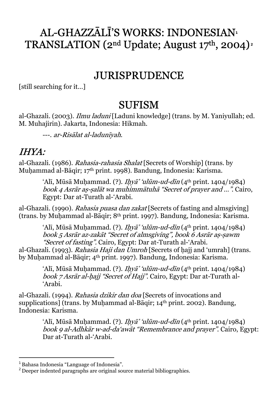## AL-GHAZZĀLĪ'S WORKS: INDONESIAN**<sup>1</sup>** TRANSLATION (2nd Update; August 17th, 2004)**<sup>2</sup>**

#### JURISPRUDENCE

[still searching for it…]

#### **SUFISM**

al-Ghazali. (2003). Ilmu laduni [Laduni knowledge] (trans. by M. Yaniyullah; ed. M. Muhajirin). Jakarta, Indonesia: Hikmah.

---. ar-Risālat al-ladunīyah.

#### IHYA:

al-Ghazali. (1986). *Rahasia-rahasia Shalat* [Secrets of Worship] (trans. by Muḥammad al-Bāqir; 17 th print. 1998). Bandung, Indonesia: Karisma.

> ʻAlī, Mūsā Muḥammad. (?). *Iḥyā' ʻulūm-ud-dīn* (4<sup>th</sup> print. 1404/1984) - book 4 Asrār a<sup>ṣ</sup> <sup>ṣ</sup>alāt wa muhimmātuh<sup>ā</sup> "Secret of prayer and …". Cairo, Egypt: Dar at-Turath al-'Arabi.

al-Ghazali. (1990). Rahasia puasa dan zakat [Secrets of fasting and almsgiving] (trans. by Muḥammad al-Bāqir; 8th print. 1997). Bandung, Indonesia: Karisma.

> ʻAlī, Mūsā Muḥammad. (?). *Iḥyā' ʻulūm-ud-dīn* (4<sup>th</sup> print. 1404/1984) book 5 Asrār az-zakāt "Secret of almsgiving", book 6 Asrār aṣ-ṣawm "Secret of fasting". Cairo, Egypt: Dar at-Turath al-'Arabi.

al-Ghazali. (1993). Rahasia Haji dan Umroh [Secrets of haji and 'umrah] (trans. by Muḥammad al-Bāqir; 4th print. 1997). Bandung, Indonesia: Karisma.

ʻAlī, Mūsā Muḥammad. (?). *Iḥyā' ʻulūm-ud-dīn* (4<sup>th</sup> print. 1404/1984) book 7 Asrār al-hajj "Secret of Hajj". Cairo, Egypt: Dar at-Turath al-'Arabi.

al-Ghazali. (1994). Rahasia dzikir dan doa [Secrets of invocations and supplications] (trans. by Muhammad al-Bāqir; 14<sup>th</sup> print. 2002). Bandung, Indonesia: Karisma.

> ʻAlī, Mūsā Muḥammad. (?). *Iḥyā' ʻulūm-ud-dīn* (4<sup>th</sup> print. 1404/1984) book 9 al-Adhkār w-ad-da'awāt "Remembrance and prayer". Cairo, Egypt: Dar at-Turath al-'Arabi.

-

<sup>1</sup> Bahasa Indonesia "Language of Indonesia".

<sup>&</sup>lt;sup>2</sup> Deeper indented paragraphs are original source material bibliographies.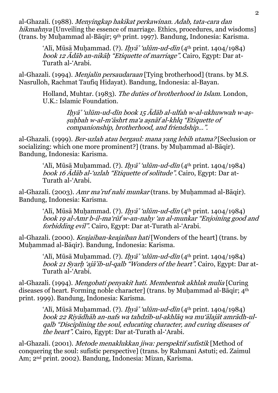al-Ghazali. (1988). *Menyingkap hakikat perkawinan. Adab, tata-cara dan* hikmahnya [Unveiling the essence of marriage. Ethics, procedures, and wisdoms] (trans. by Muḥammad al-Bāqir; 9 th print. 1997). Bandung, Indonesia: Karisma.

ʻAlī, Mūsā Muḥammad. (?). *Iḥyā' ʻulūm-ud-dīn* (4<sup>th</sup> print. 1404/1984) book 12 Ādāb an-nikāḥ "Etiquette of marriage". Cairo, Egypt: Dar at-Turath al-'Arabi.

al-Ghazali. (1994). *Menjalin persaudaraan* [Tying brotherhood] (trans. by M.S. Nasrulloh, Rachmat Taufiq Hidayat). Bandung, Indonesia: al-Bayan.

Holland, Muhtar. (1983). The duties of brotherhood in Islam. London, U.K.: Islamic Foundation.

> <sup>I</sup>ḥyā' 'ulūm-ud-dīn book 15 Ādāb al-ulfah w-al-ukhuwwah w-aṣṣuḥbah w-al-m'āshrt ma'a aṣnāf al-khlq "Etiquette of companionship, brotherhood, and friendship…".

al-Ghazali. (1999). Ber-uzlah atau bergaul: mana yang lebih utama? [Seclusion or socializing: which one more prominent?] (trans. by Muhammad al-Bāqir). Bandung, Indonesia: Karisma.

ʻAlī, Mūsā Muḥammad. (?). *Iḥyā' ʻulūm-ud-dīn* (4<sup>th</sup> print. 1404/1984) book 16 Ādāb al-'uzlah "Etiquette of solitude". Cairo, Egypt: Dar at-Turath al-'Arabi.

al-Ghazali. (2003). Amr ma'ruf nahi munkar (trans. by Muhammad al-Bāqir). Bandung, Indonesia: Karisma.

> ʻAlī, Mūsā Muḥammad. (?). *Iḥyā' ʻulūm-ud-dīn* (4<sup>th</sup> print. 1404/1984) book 19 al-Amr b-il-maʻrūf w-an-nahy ʻan al-munkar "Enjoining good and forbidding evil". Cairo, Egypt: Dar at-Turath al-'Arabi.

al-Ghazali. (2000). Keajaiban-keajaiban hati [Wonders of the heart] (trans. by Muḥammad al-Bāqir). Bandung, Indonesia: Karisma.

> ʻAlī, Mūsā Muḥammad. (?). *Iḥyā' ʻulūm-ud-dīn* (4<sup>th</sup> print. 1404/1984) book 21 Syarḥ 'ajā'ib-ul-qalb "Wonders of the heart". Cairo, Egypt: Dar at-Turath al-'Arabi.

al-Ghazali. (1994). Mengobati penyakit hati. Membentuk akhlak mulia [Curing diseases of heart. Forming noble character] (trans. by Muhammad al-Bāqir;  $4<sup>th</sup>$ print. 1999). Bandung, Indonesia: Karisma.

> ʻAlī, Mūsā Muḥammad. (?). *Iḥyā' ʻulūm-ud-dīn* (4<sup>th</sup> print. 1404/1984) - book 22 Riyādhāh an-nafs wa tahdzīb-ul akhlāq wa mu'ālajāt amrādh-ulqalb "Disciplining the soul, educating character, and curing diseases of the heart". Cairo, Egypt: Dar at-Turath al-'Arabi.

al-Ghazali. (2001). Metode menaklukkan jiwa: perspektif sufistik [Method of conquering the soul: sufistic perspective] (trans. by Rahmani Astuti; ed. Zaimul Am; 2nd print. 2002). Bandung, Indonesia: Mizan, Karisma.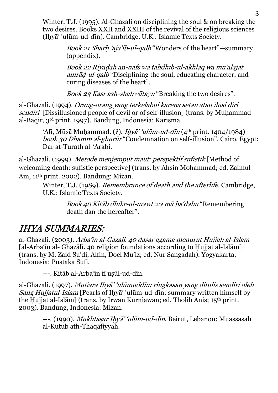Winter, T.J. (1995). Al-Ghazali on disciplining the soul & on breaking the two desires. Books XXII and XXIII of the revival of the religious sciences (Iḥyā' 'ulūm-ud-dīn). Cambridge, U.K.: Islamic Texts Society.

> Book 21 Sharh 'ajā'ib-ul-qalb "Wonders of the heart"—summary (appendix).

Book 22 Riyāḍāh an-nafs wa tahdhīb-ul-akhlāq wa mu'ālajāt amrāḍ-ul-qalb "Disciplining the soul, educating character, and curing diseases of the heart".

Book 23 Kasr ash-shahwātayn "Breaking the two desires".

al-Ghazali. (1994). Orang-orang yang terkelabui karena setan atau ilusi diri sendiri [Dissillusioned people of devil or of self-illusion] (trans. by Muhammad al-Bāqir, 3rd print. 1997). Bandung, Indonesia: Karisma.

> ʻAlī, Mūsā Muḥammad. (?). *Iḥyā' ʻulūm-ud-dīn* (4<sup>th</sup> print. 1404/1984) book 30 Dhamm al-ghurūr "Condemnation on self-illusion". Cairo, Egypt: Dar at-Turath al-'Arabi.

al-Ghazali. (1999). Metode menjemput maut: perspektif sufistik [Method of welcoming death: sufistic perspective] (trans. by Ahsin Mohammad; ed. Zaimul Am, 11th print. 2002). Bandung: Mizan.

> Winter, T.J. (1989). Remembrance of death and the afterlife. Cambridge, U.K.: Islamic Texts Society.

> > Book 40 Kitāb dhikr-ul-mawt wa mā ba'dahu "Remembering death dan the hereafter".

#### IHYA SUMMARIES:

al-Ghazali. (2003). Arba'in al-Gazali. 40 dasar agama menurut Hujjah al-Islam [al-Arba'īn al- Ghazālī. 40 religion foundations according to Ḥujjat al-Islām] (trans. by M. Zaid Su'di, Alfin, Doel Mu'iz; ed. Nur Sangadah). Yogyakarta, Indonesia: Pustaka Sufi.

---. Kitāb al-Arba'īn fī uṣūl-ud-dīn.

al-Ghazali. (1997). *Mutiara Ihyā' 'ulūmuddīn: ringkasan yang ditulis sendiri oleh* Sang Hujjatul-Islam [Pearls of Ihyā' 'ulūm-ud-dīn: summary written himself by the Ḥujjat al-Islām] (trans. by Irwan Kurniawan; ed. Tholib Anis; 15th print. 2003). Bandung, Indonesia: Mizan.

---. (1990). *Mukhtaṣar Iḥyā' 'ulūm-ud-dīn*. Beirut, Lebanon: Muassasah al-Kutub ath-Thaqāfiyyah.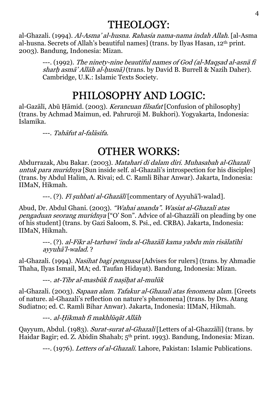## THEOLOGY:

al-Ghazali. (1994). Al-Asma' al-husna. Rahasia nama-nama indah Allah. [al-Asma al-husna. Secrets of Allah's beautiful names] (trans. by Ilyas Hasan, 12th print. 2003). Bandung, Indonesia: Mizan.

---. (1992). The ninety-nine beautiful names of God (al-Maqṣad al-asnā f<sup>ī</sup> sharh asmā' Allāh al-husnā) (trans. by David B. Burrell & Nazih Daher). Cambridge, U.K.: Islamic Texts Society.

# PHILOSOPHY AND LOGIC:

al-Gazālī, Abū Hāmid. (2003). Kerancuan filsafat [Confusion of philosophy] (trans. by Achmad Maimun, ed. Pahruroji M. Bukhori). Yogyakarta, Indonesia: Islamika.

---. Tahāfut al-falāsifa.

## OTHER WORKS:

Abdurrazak, Abu Bakar. (2003). Matahari di dalam diri. Muhasabah al-Ghazali untuk para muridnya [Sun inside self. al-Ghazali's introspection for his disciples] (trans. by Abdul Halim, A. Rivai; ed. C. Ramli Bihar Anwar). Jakarta, Indonesia: IIMaN, Hikmah.

---. (?). Fī suhbati al-Ghazālī [commentary of Ayyuhā'l-walad].

Abud, Dr. Abdul Ghani. (2003). "Wahai ananda". Wasiat al-Ghazali atas pengaduan seorang muridnya ["O' Son". Advice of al-Ghazzālī on pleading by one of his student] (trans. by Gazi Saloom, S. Psi., ed. CRBA). Jakarta, Indonesia: IIMaN, Hikmah.

---. (?). al-Fikr al-tarbaw<sup>ī</sup> 'inda al-Ghazālī kama yabdu min risālatīhi ayyuhā'l-walad. ?

al-Ghazali. (1994). Nasihat bagi penguasa [Advises for rulers] (trans. by Ahmadie Thaha, Ilyas Ismail, MA; ed. Taufan Hidayat). Bandung, Indonesia: Mizan.

---. at-Tibr al-masbūk fī nasīhat al-mulūk

al-Ghazali. (2003). Sapaan alam. Tafakur al-Ghazali atas fenomena alam. [Greets of nature. al-Ghazali's reflection on nature's phenomena] (trans. by Drs. Atang Sudiatno; ed. C. Ramli Bihar Anwar). Jakarta, Indonesia: IIMaN, Hikmah.

---. al-Ḥikmah fī makhlūqāt Allāh

Qayyum, Abdul. (1983). Surat-surat al-Ghazali [Letters of al-Ghazzālī] (trans. by Haidar Bagir; ed. Z. Abidin Shahab; 5th print. 1993). Bandung, Indonesia: Mizan.

---. (1976). Letters of al-Ghazali. Lahore, Pakistan: Islamic Publications.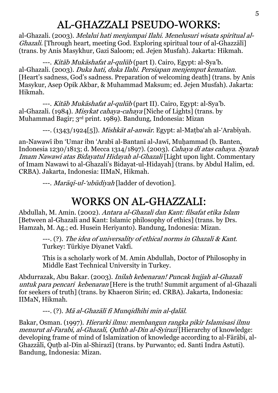## AL-GHAZZALI PSEUDO-WORKS:

al-Ghazali. (2003). *Melalui hati menjumpai Ilahi. Menelusuri wisata spiritual al-*Ghazali. [Through heart, meeting God. Exploring spiritual tour of al-Ghazzālī] (trans. by Anis Masykhur, Gazi Saloom; ed. Jejen Musfah). Jakarta: Hikmah.

---. *Kitāb Mukāshafat al-qulūb* (part I). Cairo, Egypt: al-Sya'b. al-Ghazali. (2003). Duka hati, duka Ilahi. Persiapan menjemput kematian. [Heart's sadness, God's sadness. Preparation of welcoming death] (trans. by Anis Masykur, Asep Opik Akbar, & Muhammad Maksum; ed. Jejen Musfah). Jakarta: Hikmah.

---. *Kitāb Mukāshafat al-qulūb* (part II). Cairo, Egypt: al-Sya'b. al-Ghazali. (1984). Misykat cahaya-cahaya [Niche of Lights] (trans. by Muhammad Bagir; 3rd print. 1989). Bandung, Indonesia: Mizan

---. (1343/1924[5]). *Mishkāt al-anwār*. Egypt: al-Matba'ah al-'Arabīyah.

an-Nawawī ibn 'Umar ibn 'Arabī al-Bantanī al-Jawī, Muḥammad (b. Banten, Indonesia 1230/1813; d. Mecca 1314/1897). (2003). Cahaya di atas cahaya. Syarah Imam Nawawi atas Bidayatul Hidayah al-Ghazali [Light upon light. Commentary of Imam Nawawi to al-Ghazali's Bidayat-ul-Hidayah] (trans. by Abdul Halim, ed. CRBA). Jakarta, Indonesia: IIMaN, Hikmah.

---. *Marāqī-ul-'ubūdiyah* [ladder of devotion].

## WORKS ON AL-GHAZZALI:

Abdullah, M. Amin. (2002). Antara al-Ghazali dan Kant: filsafat etika Islam [Between al-Ghazali and Kant: Islamic philosophy of ethics] (trans. by Drs. Hamzah, M. Ag.; ed. Husein Heriyanto). Bandung, Indonesia: Mizan.

> ---. (?). The idea of universality of ethical norms in Ghazali & Kant. Turkey: Türkiye Diyanet Vakfi.

This is a scholarly work of M. Amin Abdullah, Doctor of Philosophy in Middle East Technical University in Turkey.

Abdurrazak, Abu Bakar. (2003). Inilah kebenaran! Puncak hujjah al-Ghazali untuk para pencari kebenaran [Here is the truth! Summit argument of al-Ghazali for seekers of truth] (trans. by Khaeron Sirin; ed. CRBA). Jakarta, Indonesia: IIMaN, Hikmah.

---. (?). *Mā al-Ghazālī fī Munqidhihi min al-ḍalāl.* 

Bakar, Osman. (1997). Hierarki ilmu: membangun rangka pikir Islamisasi ilmu menurut al-Farabi, al-Ghazali, Quthb al-Din al-Syirazi [Hierarchy of knowledge: developing frame of mind of Islamization of knowledge according to al-Fārābī, al-Ghazzālī, Quṭb al-Dīn al-Shirazī] (trans. by Purwanto; ed. Santi Indra Astuti). Bandung, Indonesia: Mizan.